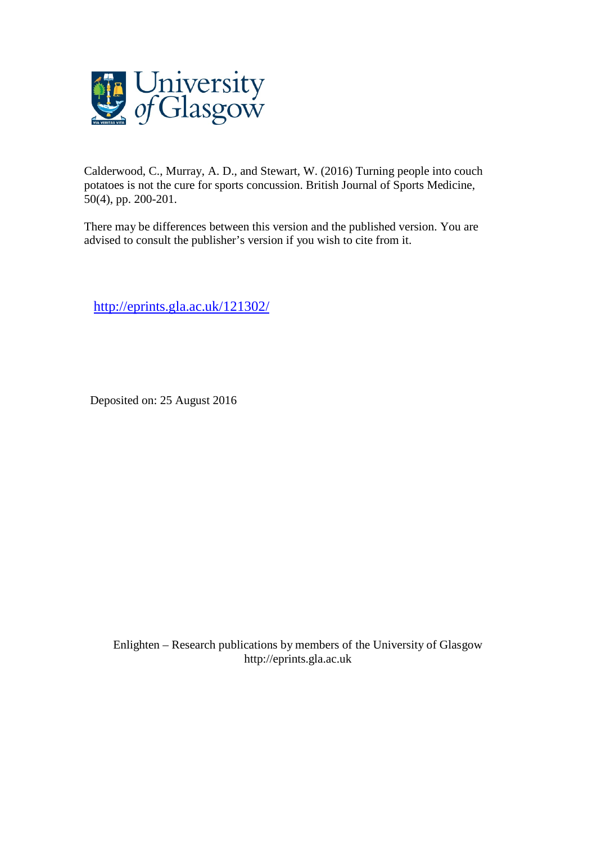

Calderwood, C., Murray, A. D., and Stewart, W. (2016) Turning people into couch potatoes is not the cure for sports concussion. British Journal of Sports Medicine, 50(4), pp. 200-201.

There may be differences between this version and the published version. You are advised to consult the publisher's version if you wish to cite from it.

<http://eprints.gla.ac.uk/121302/>

Deposited on: 25 August 2016

Enlighten – Research publications by members of the University of Glasgo[w](http://eprints.gla.ac.uk/) [http://eprints.gla.ac.uk](http://eprints.gla.ac.uk/)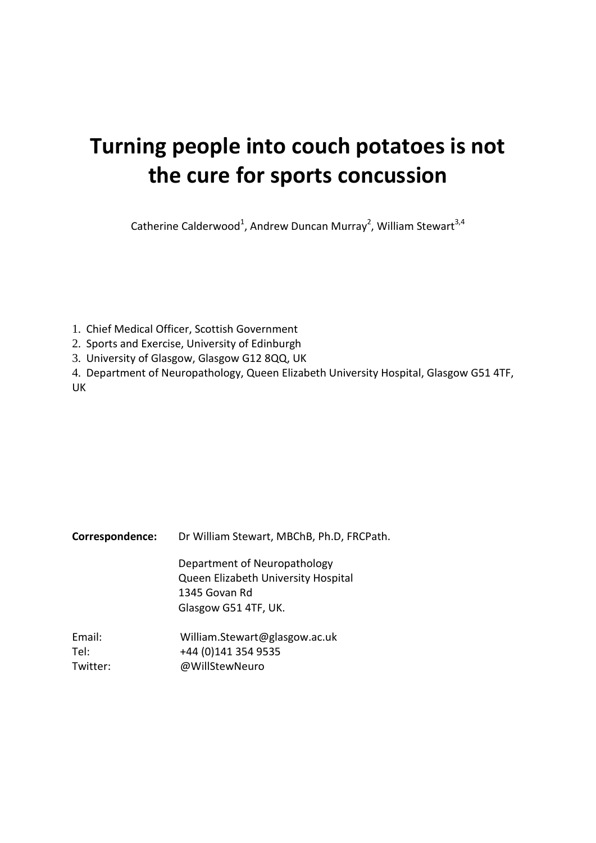# **Turning people into couch potatoes is not the cure for sports concussion**

Catherine Calderwood<sup>1</sup>, Andrew Duncan Murray<sup>2</sup>, William Stewart<sup>3,4</sup>

- 1. Chief Medical Officer, Scottish Government
- 2. Sports and Exercise, University of Edinburgh
- 3. University of Glasgow, Glasgow G12 8QQ, UK

4. Department of Neuropathology, Queen Elizabeth University Hospital, Glasgow G51 4TF, UK

| Correspondence: | Dr William Stewart, MBChB, Ph.D, FRCPath. |  |  |  |  |
|-----------------|-------------------------------------------|--|--|--|--|
|                 | Department of Neuropathology              |  |  |  |  |
|                 | Queen Elizabeth University Hospital       |  |  |  |  |
|                 | 1345 Govan Rd                             |  |  |  |  |
|                 | Glasgow G51 4TF, UK.                      |  |  |  |  |
| Email:          | William.Stewart@glasgow.ac.uk             |  |  |  |  |
| Tel:            | +44 (0)141 354 9535                       |  |  |  |  |
| Twitter:        | @WillStewNeuro                            |  |  |  |  |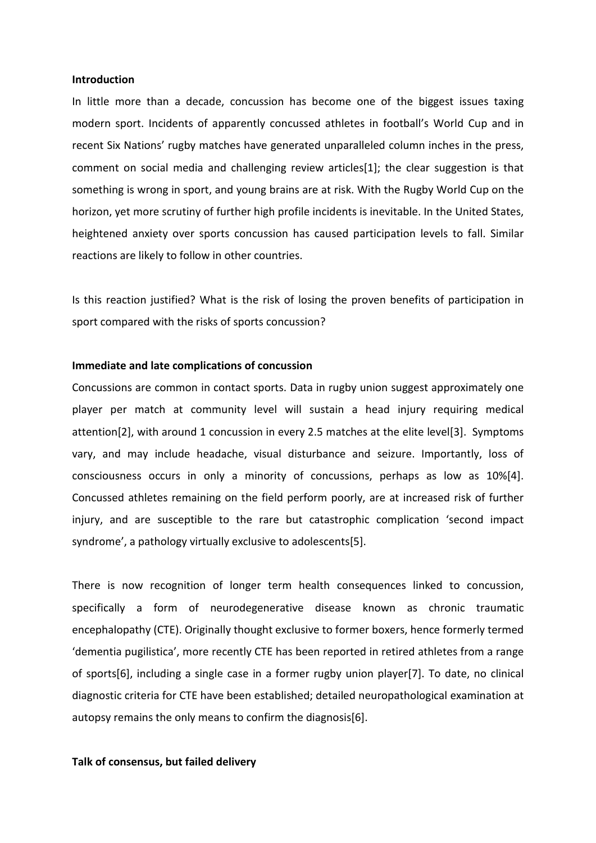#### **Introduction**

In little more than a decade, concussion has become one of the biggest issues taxing modern sport. Incidents of apparently concussed athletes in football's World Cup and in recent Six Nations' rugby matches have generated unparalleled column inches in the press, comment on social media and challenging review articles[1]; the clear suggestion is that something is wrong in sport, and young brains are at risk. With the Rugby World Cup on the horizon, yet more scrutiny of further high profile incidents is inevitable. In the United States, heightened anxiety over sports concussion has caused participation levels to fall. Similar reactions are likely to follow in other countries.

Is this reaction justified? What is the risk of losing the proven benefits of participation in sport compared with the risks of sports concussion?

#### **Immediate and late complications of concussion**

Concussions are common in contact sports. Data in rugby union suggest approximately one player per match at community level will sustain a head injury requiring medical attention[2], with around 1 concussion in every 2.5 matches at the elite level[3]. Symptoms vary, and may include headache, visual disturbance and seizure. Importantly, loss of consciousness occurs in only a minority of concussions, perhaps as low as 10%[4]. Concussed athletes remaining on the field perform poorly, are at increased risk of further injury, and are susceptible to the rare but catastrophic complication 'second impact syndrome', a pathology virtually exclusive to adolescents[5].

There is now recognition of longer term health consequences linked to concussion, specifically a form of neurodegenerative disease known as chronic traumatic encephalopathy (CTE). Originally thought exclusive to former boxers, hence formerly termed 'dementia pugilistica', more recently CTE has been reported in retired athletes from a range of sports[6], including a single case in a former rugby union player[7]. To date, no clinical diagnostic criteria for CTE have been established; detailed neuropathological examination at autopsy remains the only means to confirm the diagnosis[6].

### **Talk of consensus, but failed delivery**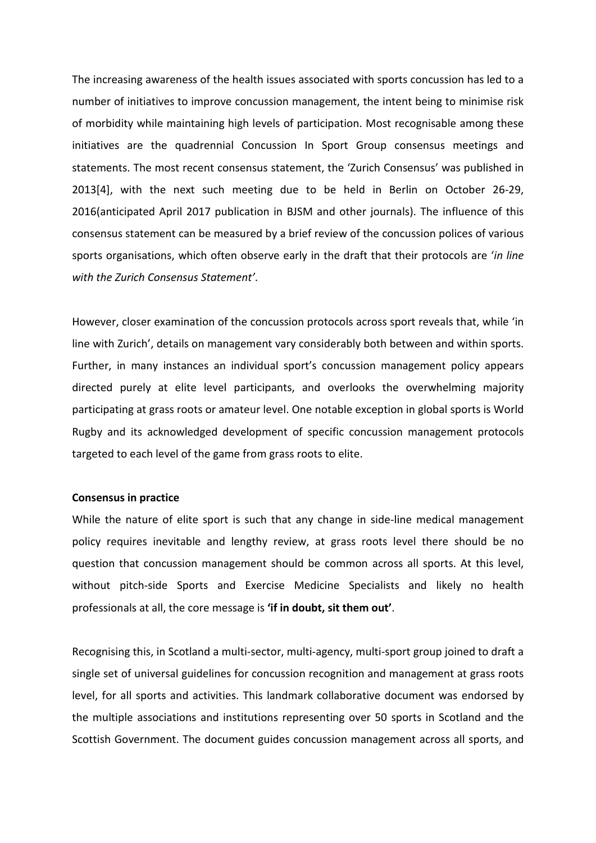The increasing awareness of the health issues associated with sports concussion has led to a number of initiatives to improve concussion management, the intent being to minimise risk of morbidity while maintaining high levels of participation. Most recognisable among these initiatives are the quadrennial Concussion In Sport Group consensus meetings and statements. The most recent consensus statement, the 'Zurich Consensus' was published in 2013[4], with the next such meeting due to be held in Berlin on October 26-29, 2016(anticipated April 2017 publication in BJSM and other journals). The influence of this consensus statement can be measured by a brief review of the concussion polices of various sports organisations, which often observe early in the draft that their protocols are '*in line with the Zurich Consensus Statement'*.

However, closer examination of the concussion protocols across sport reveals that, while 'in line with Zurich', details on management vary considerably both between and within sports. Further, in many instances an individual sport's concussion management policy appears directed purely at elite level participants, and overlooks the overwhelming majority participating at grass roots or amateur level. One notable exception in global sports is World Rugby and its acknowledged development of specific concussion management protocols targeted to each level of the game from grass roots to elite.

## **Consensus in practice**

While the nature of elite sport is such that any change in side-line medical management policy requires inevitable and lengthy review, at grass roots level there should be no question that concussion management should be common across all sports. At this level, without pitch-side Sports and Exercise Medicine Specialists and likely no health professionals at all, the core message is **'if in doubt, sit them out'**.

Recognising this, in Scotland a multi-sector, multi-agency, multi-sport group joined to draft a single set of universal guidelines for concussion recognition and management at grass roots level, for all sports and activities. This landmark collaborative document was endorsed by the multiple associations and institutions representing over 50 sports in Scotland and the Scottish Government. The document guides concussion management across all sports, and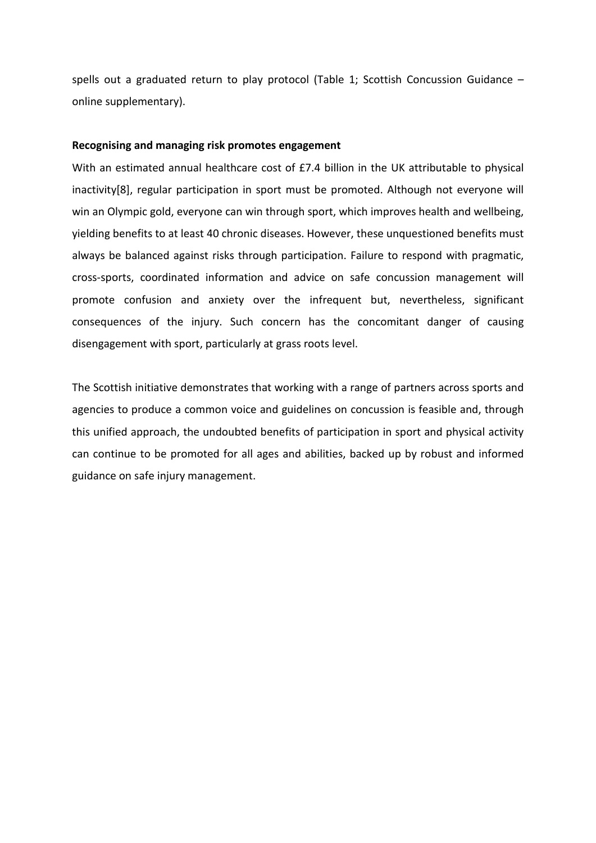spells out a graduated return to play protocol (Table 1; Scottish Concussion Guidance – online supplementary).

#### **Recognising and managing risk promotes engagement**

With an estimated annual healthcare cost of £7.4 billion in the UK attributable to physical inactivity[8], regular participation in sport must be promoted. Although not everyone will win an Olympic gold, everyone can win through sport, which improves health and wellbeing, yielding benefits to at least 40 chronic diseases. However, these unquestioned benefits must always be balanced against risks through participation. Failure to respond with pragmatic, cross-sports, coordinated information and advice on safe concussion management will promote confusion and anxiety over the infrequent but, nevertheless, significant consequences of the injury. Such concern has the concomitant danger of causing disengagement with sport, particularly at grass roots level.

The Scottish initiative demonstrates that working with a range of partners across sports and agencies to produce a common voice and guidelines on concussion is feasible and, through this unified approach, the undoubted benefits of participation in sport and physical activity can continue to be promoted for all ages and abilities, backed up by robust and informed guidance on safe injury management.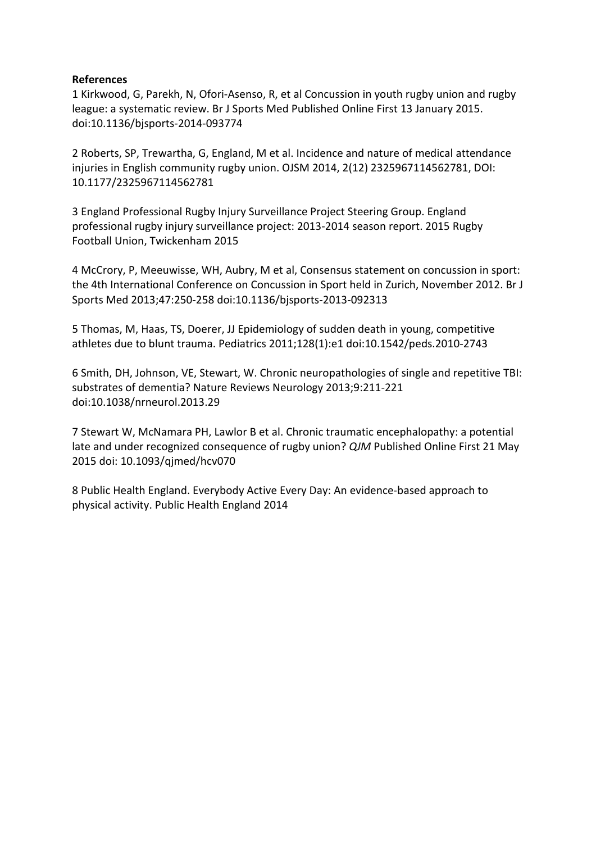# **References**

1 Kirkwood, G, Parekh, N, Ofori-Asenso, R, et al Concussion in youth rugby union and rugby league: a systematic review. Br J Sports Med Published Online First 13 January 2015. doi:10.1136/bjsports-2014-093774

2 Roberts, SP, Trewartha, G, England, M et al. Incidence and nature of medical attendance injuries in English community rugby union. OJSM 2014, 2(12) 2325967114562781, DOI: 10.1177/2325967114562781

3 England Professional Rugby Injury Surveillance Project Steering Group. England professional rugby injury surveillance project: 2013-2014 season report. 2015 Rugby Football Union, Twickenham 2015

4 McCrory, P, Meeuwisse, WH, Aubry, M et al, Consensus statement on concussion in sport: the 4th International Conference on Concussion in Sport held in Zurich, November 2012. Br J Sports Med 2013;47:250-258 doi:10.1136/bjsports-2013-092313

5 Thomas, M, Haas, TS, Doerer, JJ Epidemiology of sudden death in young, competitive athletes due to blunt trauma. Pediatrics 2011;128(1):e1 doi:10.1542/peds.2010-2743

6 Smith, DH, Johnson, VE, Stewart, W. Chronic neuropathologies of single and repetitive TBI: substrates of dementia? Nature Reviews Neurology 2013;9:211-221 doi:10.1038/nrneurol.2013.29

7 Stewart W, McNamara PH, Lawlor B et al. Chronic traumatic encephalopathy: a potential late and under recognized consequence of rugby union? *QJM* Published Online First 21 May 2015 doi: 10.1093/qjmed/hcv070

8 Public Health England. Everybody Active Every Day: An evidence-based approach to physical activity. Public Health England 2014